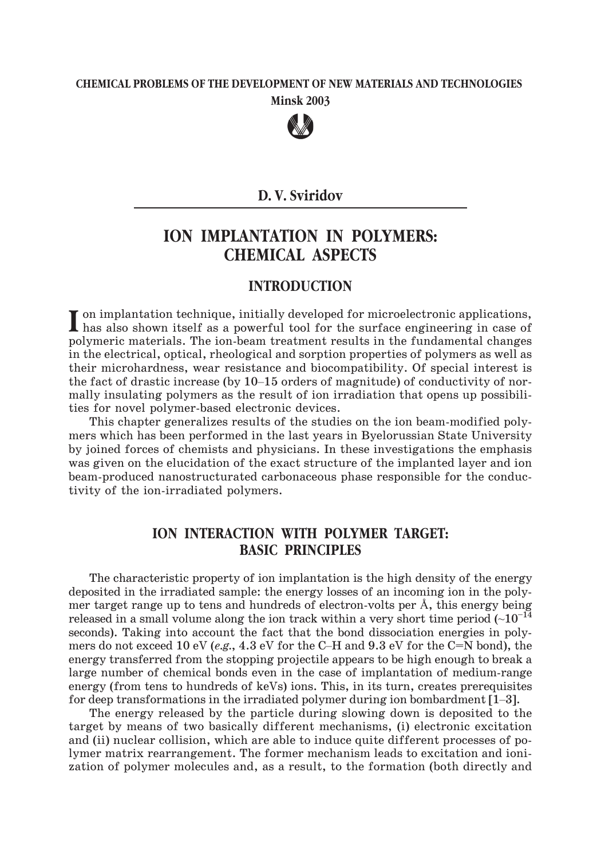# **CHEMICAL PROBLEMS OF THE DEVELOPMENT OF NEW MATERIALS AND TECHNOLOGIES Minsk 2003**



## **D. V. Sviridov**

# **ION IMPLANTATION IN POLYMERS: CHEMICAL ASPECTS**

## **INTRODUCTION**

In on implantation technique, initially developed for microelectronic applications, has also shown itself as a powerful tool for the surface engineering in case of polymeric materials. The ion-beam treatment results in the fundamental changes in the electrical, optical, rheological and sorption properties of polymers as well as their microhardness, wear resistance and biocompatibility. Of special interest is  $\blacksquare$  on implantation technique, initially developed for microelectronic applications, has also shown itself as a powerful tool for the surface engineering in case of polymeric materials. The ion-beam treatment results i mally insulating polymers as the result of ion irradiation that opens up possibilities for novel polymer-based electronic devices.

This chapter generalizes results of the studies on the ion beam-modified polymers which has been performed in the last years in Byelorussian State University by joined forces of chemists and physicians. In these investigations the emphasis was given on the elucidation of the exact structure of the implanted layer and ion beam-produced nanostructurated carbonaceous phase responsible for the conductivity of the ion-irradiated polymers.

## **ION INTERACTION WITH POLYMER TARGET: BASIC PRINCIPLES**

The characteristic property of ion implantation is the high density of the energy deposited in the irradiated sample: the energy losses of an incoming ion in the poly-**ION INTERACTION WITH POLYMER TARGET:**<br>**BASIC PRINCIPLES**<br>The characteristic property of ion implantation is the high density of the energy<br>deposited in the irradiated sample: the energy losses of an incoming ion in the p **BASIC PRINCIPLES**<br>The characteristic property of ion implantation is the high density of the energy<br>deposited in the irradiated sample: the energy losses of an incoming ion in the poly-<br>mer target range up to tens and hu seconds). Taking into account the fact that the bond dissociation energies in poly-The characteristic property of ion implantation is the high density of the energy<br>deposited in the irradiated sample: the energy losses of an incoming ion in the poly-<br>mer target range up to tens and hundreds of electronenergy transferred from the stopping projectile appears to be high enough to break a large number of chemical bonds even in the case of implantation of medium-range energy (from tens to hundreds of keVs) ions. This, in its turn, creates prerequisites mers do not exceed 10 eV (*e.g.*, 4.3 eV for the C-H and 9.3 eV for the C=N bond), the energy transferred from the stopping projectile appears to be high enough to break a large number of chemical bonds even in the case o

The energy released by the particle during slowing down is deposited to the target by means of two basically different mechanisms, (i) electronic excitation and (ii) nuclear collision, which are able to induce quite different processes of polymer matrix rearrangement. The former mechanism leads to excitation and ionization of polymer molecules and, as a result, to the formation (both directly and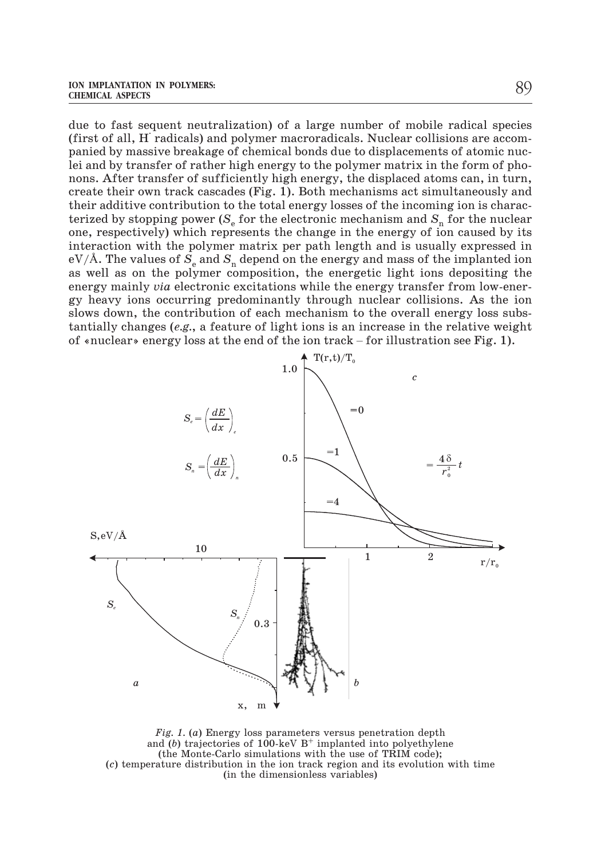due to fast sequent neutralization) of a large number of mobile radical species (first of all, H· radicals) and polymer macroradicals. Nuclear collisions are accompanied by massive breakage of chemical bonds due to displacements of atomic nuclei and by transfer of rather high energy to the polymer matrix in the form of phonons. After transfer of sufficiently high energy, the displaced atoms can, in turn, create their own track cascades (Fig. 1). Both mechanisms act simultaneously and their additive contribution to the total energy losses of the incoming ion is characterized by stopping power  $(S_n)$  for the electronic mechanism and  $S_n$  for the nuclear one, respectively) which represents the change in the energy of ion caused by its interaction with the polymer matrix per path length and is usually expressed in eV/Å. The values of  $S_e$  and  $S_n$  depend on the energy and mass of the implanted ion as well as on the polymer composition, the energetic light ions depositing the energy mainly *via* electronic excitations while the energy transfer from low-energy heavy ions occurring predominantly through nuclear collis energy mainly *via* electronic excitations while the energy transfer from low-energy heavy ions occurring predominantly through nuclear collisions. As the ion slows down, the contribution of each mechanism to the overall energy loss substantially changes (*e.g.*, a feature of light ions is an increase in the relative weight



*Fig. 1.* (*a*) Energy loss parameters versus penetration depth and (*b*) trajectories of  $100$ -keV B<sup>+</sup> implanted into polyethylene (the Monte-Carlo simulations with the use of TRIM code); (*c*) temperature distribution in the ion track region and its evolution with time (in the dimensionless variables)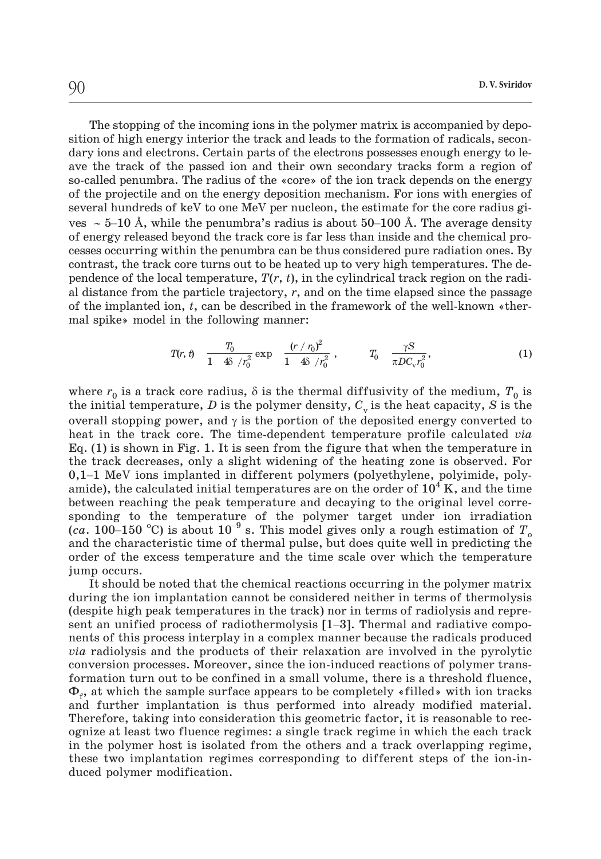The stopping of the incoming ions in the polymer matrix is accompanied by deposition of high energy interior the track and leads to the formation of radicals, secondary ions and electrons. Certain parts of the electrons possesses enough energy to leave the track of the passed ion and their own secondary tracks form a region of so-called penumbra. The radius of the «core» of the ion track depends on the energy of the projectile and on the energy deposition mechanism. For ions with energies of several hundreds of keV to one MeV per nucleon, the estimate for the core radius gives  $\sim$  5–10 Å, while the penumbra's radius is about 50–100 Å. The average density of energy released beyond the track core is far less than inside and the chemical processes occurring within the penumbra can be thus considered pure radiation ones. By contrast, the track core turns out to be heated up to very high temperatures. The dependence of the local temperature,  $T(r, t)$ , in the cylindrical track region on the radial distance from the particle trajectory, *r*, and on the time elapsed since the passage of the implanted ion, *t*, can be described in the framework of the well-known «thermal spike» model in the following manner:

in the following manner:  
\n
$$
T(r, t)
$$
  $\frac{T_0}{1 - 4\delta / r_0^2} \exp \frac{(r/r_0)^2}{1 - 4\delta / r_0^2}, \qquad T_0 = \frac{\gamma S}{\pi D C_v r_0^2},$ \n(1)

where  $r_0$  is a track core radius,  $\delta$  is the thermal diffusivity of the medium,  $T_0$  is the initial temperature, *D* is the polymer density,  $C_v$  is the heat capacity, *S* is the overall stopping power, and  $\gamma$  is the portion of the deposited energy converted to heat in the track core. The time-dependent te overall stopping power, and  $\gamma$  is the portion of the deposited energy converted to heat in the track core. The time-dependent temperature profile calculated *via* Eq. (1) is shown in Fig. 1. It is seen from the figure that when the temperature in the track decreases, only a slight widening of the heating zone is observed. For 0,1–1 MeV ions implanted in different polymers (polyethylene, polyimide, polyamide), the calculated initial temperatures are on the order of  $10^4$  K, and the time between reaching the peak temperature and decaying to the original level corresponding to the temperature of the polymer target under ion irradiation Eq. (1) is shown in Fig. 1. It is seen from the righte that when the temperature in<br>the track decreases, only a slight widening of the heating zone is observed. For<br>0,1–1 MeV ions implanted in different polymers (polyethy and the characteristic time of thermal pulse, but does quite well in predicting the order of the excess temperature and the time scale over which the temperature jump occurs.

It should be noted that the chemical reactions occurring in the polymer matrix during the ion implantation cannot be considered neither in terms of thermolysis (despite high peak temperatures in the track) nor in terms of radiolysis and represent an unified process of radiothermolysis [1–3]. Thermal and radiative components of this process interplay in a complex manner because the radicals produced *via* radiolysis and the products of their relaxation are involved in the pyrolytic conversion processes. Moreover, since the ion-induced reactions of polymer transformation turn out to be confined in a small volume, there is a threshold fluence,  $\Phi_f$ , at which the sample surface appears to be completely «filled» with ion tracks and further implantation is thus performed into already modified material. Therefore, taking into consideration this geometric factor, it is reasonable to recognize at least two fluence regimes: a single track regime in which the each track in the polymer host is isolated from the others and a track overlapping regime, these two implantation regimes corresponding to different steps of the ion-induced polymer modification.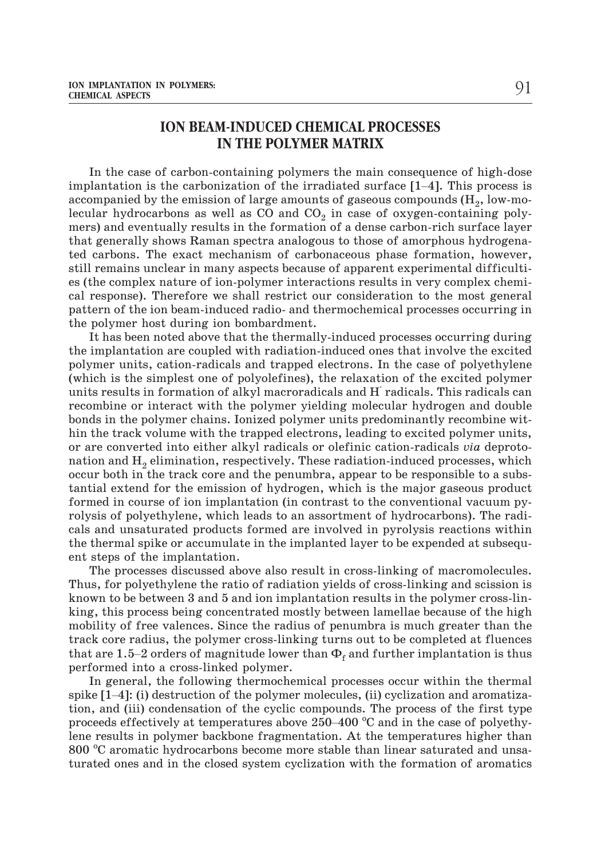## **ION BEAM-INDUCED CHEMICAL PROCESSES IN THE POLYMER MATRIX**

In the case of carbon-containing polymers the main consequence of high-dose ION BEAM-INDUCED CHEMICAL PROCESSES<br>IN THE POLYMER MATRIX<br>In the case of carbon-containing polymers the main consequence of high-dose<br>implantation is the carbonization of the irradiated surface [1–4]. This process is accompanied by the emission of large amounts of gaseous compounds  $(H_2, low-mo$ lecular hydrocarbons as well as CO and  $CO<sub>2</sub>$  in case of oxygen-containing polymers) and eventually results in the formation of a dense carbon-rich surface layer that generally shows Raman spectra analogous to those of amorphous hydrogenated carbons. The exact mechanism of carbonaceous phase formation, however, still remains unclear in many aspects because of apparent experimental difficulties (the complex nature of ion-polymer interactions results in very complex chemical response). Therefore we shall restrict our consideration to the most general pattern of the ion beam-induced radio- and thermochemical processes occurring in the polymer host during ion bombardment.

It has been noted above that the thermally-induced processes occurring during the implantation are coupled with radiation-induced ones that involve the excited polymer units, cation-radicals and trapped electrons. In the case of polyethylene (which is the simplest one of polyolefines), the relaxation of the excited polymer units results in formation of alkyl macroradicals and H· radicals. This radicals can recombine or interact with the polymer yielding molecular hydrogen and double bonds in the polymer chains. Ionized polymer units predominantly recombine within the track volume with the trapped electrons, leading to excited polymer units, or are converted into either alkyl radicals or olefinic cation-radicals *via* deprotonation and  $H<sub>2</sub>$  elimination, respectively. These radiation-induced processes, which occur both in the track core and the penumbra, appear to be responsible to a substantial extend for the emission of hydrogen, which is the major gaseous product formed in course of ion implantation (in contrast to the conventional vacuum pyrolysis of polyethylene, which leads to an assortment of hydrocarbons). The radicals and unsaturated products formed are involved in pyrolysis reactions within the thermal spike or accumulate in the implanted layer to be expended at subsequent steps of the implantation.

The processes discussed above also result in cross-linking of macromolecules. Thus, for polyethylene the ratio of radiation yields of cross-linking and scission is known to be between 3 and 5 and ion implantation results in the polymer cross-linking, this process being concentrated mostly between lamellae because of the high mobility of free valences. Since the radius of penumbra is much greater than the track core radius, the polymer cross-linking turns out to be completed at fluences Thus, for polyethylene the ratio of radiation yields of cross-linking and scission is<br>known to be between 3 and 5 and ion implantation results in the polymer cross-lin-<br>king, this process being concentrated mostly between performed into a cross-linked polymer. mobility of free valences. Since the radius of penumbra is much greater than the track core radius, the polymer cross-linking turns out to be completed at fluences that are 1.5–2 orders of magnitude lower than  $\Phi_f$  and f that are 1.5–2 orders of magnitude lower than  $\Phi_f$  and further implantation is thus<br>performed into a cross-linked polymer.<br>In general, the following thermochemical processes occur within the thermal<br>spike [1–4]: (i) dest

In general, the following thermochemical processes occur within the thermal tion, and (iii) condensation of the cyclic compounds. The process of the first type proceeds effectively at temperatures above  $250-400\degree$ C and in the case of polyethylene results in polymer backbone fragmentation. At the temperatures higher than 800 °C aromatic hydrocarbons become more stable than linear saturated and unsaturated ones and in the closed system cyclization with the formation of aromatics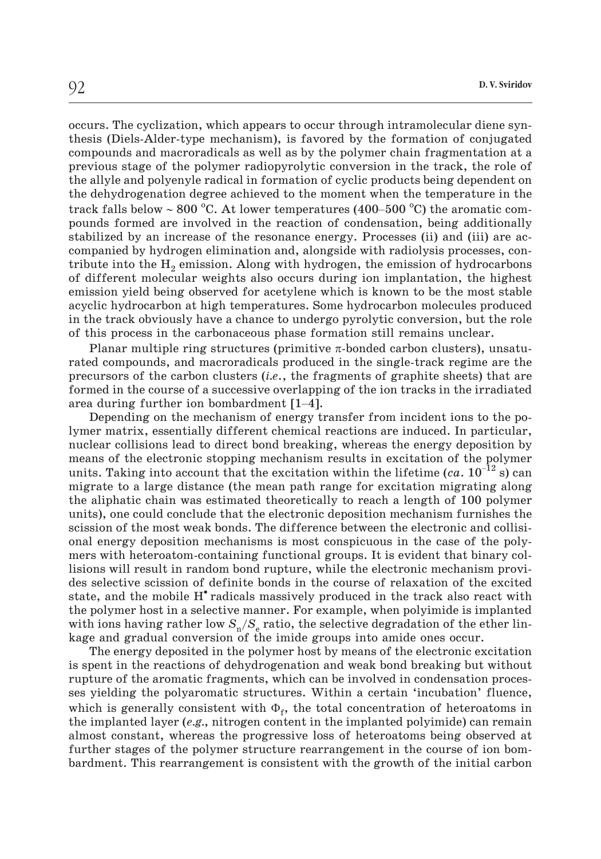occurs. The cyclization, which appears to occur through intramolecular diene synthesis (Diels-Alder-type mechanism), is favored by the formation of conjugated compounds and macroradicals as well as by the polymer chain fragmentation at a previous stage of the polymer radiopyrolytic conversion in the track, the role of the allyle and polyenyle radical in formation of cyclic products being dependent on the dehydrogenation degree achieved to the moment when the temperature in the track falls below ~ 800 °C. At lower temperatures (400–500 °C) the aromatic commechanism), is favored by the form<br>dicals as well as by the polymer chai<br>lymer radiopyrolytic conversion in t<br>radical in formation of cyclic product<br>gree achieved to the moment when th<br>C. At lower temperatures  $(400–500^\circ$ pounds formed are involved in the reaction of condensation, being additionally stabilized by an increase of the resonance energy. Processes (ii) and (iii) are accompanied by hydrogen elimination and, alongside with radiolysis processes, contribute into the  $H<sub>2</sub>$  emission. Along with hydrogen, the emission of hydrocarbons of different molecular weights also occurs during ion implantation, the highest emission yield being observed for acetylene which is known to be the most stable acyclic hydrocarbon at high temperatures. Some hydrocarbon molecules produced in the track obviously have a chance to undergo pyrolytic conversion, but the role

of this process in the carbonaceous phase formation still remains unclear.<br>
Planar multiple ring structures (primitive π-bonded carbon clusters), u<br>
rated compounds, and macroradicals produced in the single-track regime Planar multiple ring structures (primitive  $\pi$ -bonded carbon clusters), unsaturated compounds, and macroradicals produced in the single-track regime are the precursors of the carbon clusters (*i.e*., the fragments of graphite sheets) that are formed in the course of a successive overlapping of the ion tracks in the irradiated

Depending on the mechanism of energy transfer from incident ions to the polymer matrix, essentially different chemical reactions are induced. In particular, nuclear collisions lead to direct bond breaking, whereas the energy deposition by means of the electronic stopping mechanism results in excitation of the polymer units. Taking into account that the excitation within the lifetime (*ca*.  $10^{-12}$  s) can migrate to a large distance (the mean path range for excitation migrating along the aliphatic chain was estimated theoretically to reach a length of 100 polymer units), one could conclude that the electronic deposition mechanism furnishes the scission of the most weak bonds. The difference between the electronic and collisional energy deposition mechanisms is most conspicuous in the case of the polymers with heteroatom-containing functional groups. It is evident that binary collisions will result in random bond rupture, while the electronic mechanism provides selective scission of definite bonds in the course of relaxation of the excited state, and the mobile  $H^{\bullet}$  radicals massively produced in the track also react with the polymer host in a selective manner. For example, when polyimide is implanted with ions having rather low  $S_n/S_e$  ratio, the selective degradation of the ether linkage and gradual conversion of the imide groups into amide ones occur.

The energy deposited in the polymer host by means of the electronic excitation is spent in the reactions of dehydrogenation and weak bond breaking but without rupture of the aromatic fragments, which can be involved in condensation processes yielding the polyaromatic structures. Within a certain 'incubation' fluence, which is generally consistent with  $\Phi_{r}$ , the total concentration of heteroatoms in the implanted layer (*e.g.*, nitrogen content in the implanted polyimide) can remain almost constant, whereas the progressive loss of heteroatoms being observed at further stages of the polymer structure rearrangement in the course of ion bombardment. This rearrangement is consistent with the growth of the initial carbon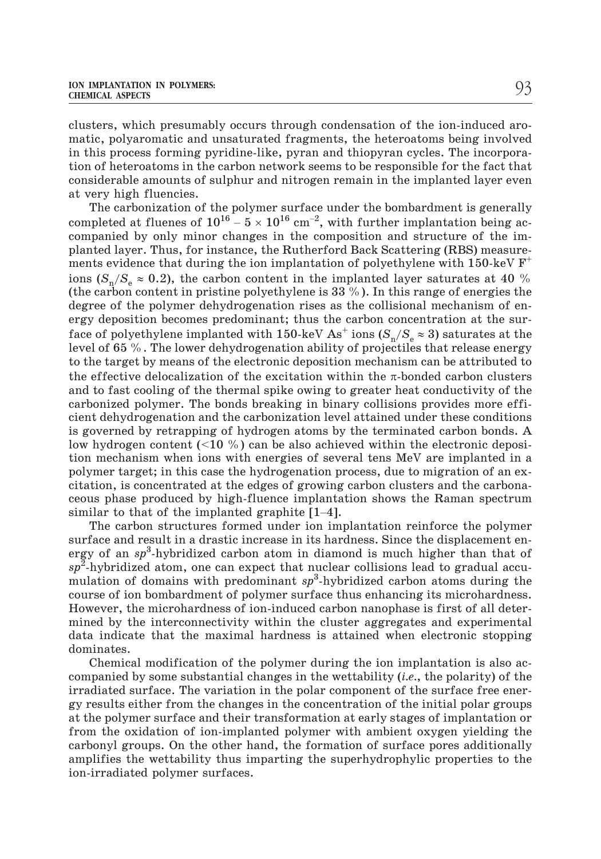clusters, which presumably occurs through condensation of the ion-induced aromatic, polyaromatic and unsaturated fragments, the heteroatoms being involved in this process forming pyridine-like, pyran and thiopyran cycles. The incorporation of heteroatoms in the carbon network seems to be responsible for the fact that considerable amounts of sulphur and nitrogen remain in the implanted layer even at very high fluencies. in this process forming pyridine-like, pyran and thiopyran cycles. The incorpora-<br>tion of heteroatoms in the carbon network seems to be responsible for the fact that<br>considerable amounts of sulphur and nitrogen remain in

The carbonization of the polymer surface under the bombardment is generally companied by only minor changes in the composition and structure of the implanted layer. Thus, for instance, the Rutherford Back Scattering (RBS) measurements evidence that during the ion implantation of polyethylene with  $150\text{-keV }F^+$ ions  $(S_n/S_e \approx 0.2)$ , the carbon content in the implanted layer saturates at 40 % (the carbon content in pristine polyethylene is 33 %). In this range of energies the degree of the polymer dehydrogenation rises as the collisional mechanism of energy deposition becomes predominant; thus the carbon concentration at the surface of polyethylene implanted with 150-keV As<sup>+</sup> ions  $(S_n/S_e \approx 3)$  saturates at the level of 65 %. The lower dehydrogenation ability of projectiles that release energy to the target by means of the electronic deposition mechanism can be attributed to the effective delocalization of the excitation within the  $\pi$ -bonded carbon clusters and to fast cooling of the thermal spike owing to greater heat conductivity of the carbonized polymer. The bonds breaking in binary collisions provides more efficient dehydrogenation and the carbonization level attained under these conditions is governed by retrapping of hydrogen atoms by the terminated carbon bonds. A low hydrogen content  $\langle 10 \% \rangle$  can be also achieved within the electronic deposition mechanism when ions with energies of several tens MeV are implanted in a polymer target; in this case the hydrogenation process, due to migration of an excitation, is concentrated at the edges of growing carbon clusters and the carbonaceous phase produced by high-fluence implantation shows the Raman spectrum similar to that of the implanted graphite [1–4].

The carbon structures formed under ion implantation reinforce the polymer surface and result in a drastic increase in its hardness. Since the displacement energy of an sp<sup>3</sup>-hybridized carbon atom in diamond is much higher than that of *sp*<sup>2</sup> -hybridized atom, one can expect that nuclear collisions lead to gradual accumulation of domains with predominant *sp*<sup>3</sup> -hybridized carbon atoms during the course of ion bombardment of polymer surface thus enhancing its microhardness. However, the microhardness of ion-induced carbon nanophase is first of all determined by the interconnectivity within the cluster aggregates and experimental data indicate that the maximal hardness is attained when electronic stopping dominates.

Chemical modification of the polymer during the ion implantation is also accompanied by some substantial changes in the wettability (*i.e.*, the polarity) of the irradiated surface. The variation in the polar component of the surface free energy results either from the changes in the concentration of the initial polar groups at the polymer surface and their transformation at early stages of implantation or from the oxidation of ion-implanted polymer with ambient oxygen yielding the carbonyl groups. On the other hand, the formation of surface pores additionally amplifies the wettability thus imparting the superhydrophylic properties to the ion-irradiated polymer surfaces.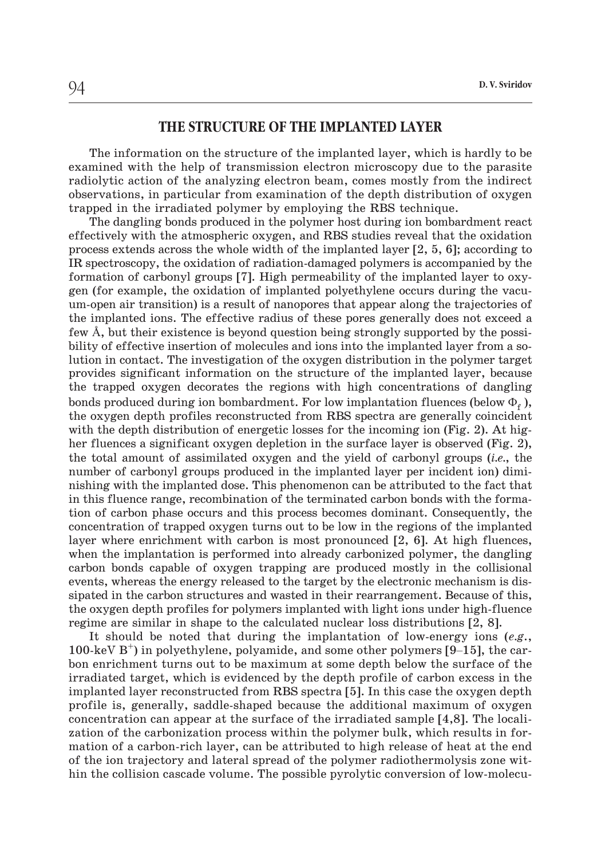#### **THE STRUCTURE OF THE IMPLANTED LAYER**

The information on the structure of the implanted layer, which is hardly to be examined with the help of transmission electron microscopy due to the parasite radiolytic action of the analyzing electron beam, comes mostly from the indirect observations, in particular from examination of the depth distribution of oxygen trapped in the irradiated polymer by employing the RBS technique.

The dangling bonds produced in the polymer host during ion bombardment react effectively with the atmospheric oxygen, and RBS studies reveal that the oxidation process extends across the whole width of the implanted layer [2, 5, 6]; according to IR spectroscopy, the oxidation of radiation-damaged polymers is accompanied by the formation of carbonyl groups [7]. High permeability of the implanted layer to oxygen (for example, the oxidation of implanted polyethylene occurs during the vacuum-open air transition) is a result of nanopores that appear along the trajectories of the implanted ions. The effective radius of these pores generally does not exceed a IR spectroscopy, the oxidation of radiation-damaged polymers is accompanied by the formation of carbonyl groups [7]. High permeability of the implanted layer to oxygen (for example, the oxidation of implanted polyethylene bility of effective insertion of molecules and ions into the implanted layer from a solution in contact. The investigation of the oxygen distribution in the polymer target provides significant information on the structure of the implanted layer, because the trapped oxygen decorates the regions with high concentrations of dangling bonds produced during ion bombardment. For low implantation fluences (below  $\Phi_{\epsilon}$ ), the oxygen depth profiles reconstructed from RBS spectra are generally coincident with the depth distribution of energetic losses for the incoming ion (Fig. 2). At higher fluences a significant oxygen depletion in the surface layer is observed (Fig. 2), the total amount of assimilated oxygen and the yield of carbonyl groups (*i.e.*, the number of carbonyl groups produced in the implanted layer per incident ion) diminishing with the implanted dose. This phenomenon can be attributed to the fact that in this fluence range, recombination of the terminated carbon bonds with the formation of carbon phase occurs and this process becomes dominant. Consequently, the concentration of trapped oxygen turns out to be low in the regions of the implanted layer where enrichment with carbon is most pronounced [2, 6]. At high fluences, when the implantation is performed into already carbonized polymer, the dangling carbon bonds capable of oxygen trapping are produced mostly in the collisional events, whereas the energy released to the target by the electronic mechanism is dissipated in the carbon structures and wasted in their rearrangement. Because of this, the oxygen depth profiles for polymers implanted wit sipated in the carbon structures and wasted in their rearrangement. Because of this, the oxygen depth profiles for polymers implanted with light ions under high-fluence regime are similar in shape to the calculated nuclear loss distributions [2, 8].

It should be noted that during the implantation of low-energy ions (*e.g*., bon enrichment turns out to be maximum at some depth below the surface of the irradiated target, which is evidenced by the depth profile of carbon excess in the implanted layer reconstructed from RBS spectra [5]. In this case the oxygen depth profile is, generally, saddle-shaped because the additional maximum of oxygen concentration can appear at the surface of the irradiated sample [4,8]. The localization of the carbonization process within the polymer bulk, which results in formation of a carbon-rich layer, can be attributed to high release of heat at the end of the ion trajectory and lateral spread of the polymer radiothermolysis zone within the collision cascade volume. The possible pyrolytic conversion of low-molecu-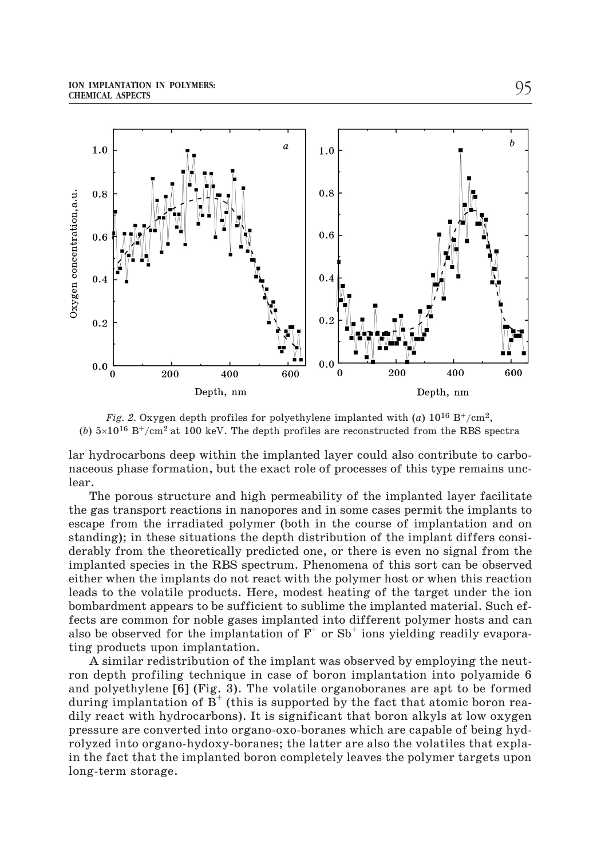

*Fig. 2.* Oxygen depth profiles for polyethylene implanted with (*a*)  $10^{16} B^{+}/cm^{2}$ , (*b*)  $5\times10^{16}$  B<sup>+</sup>/cm<sup>2</sup> at 100 keV. The depth profiles are reconstructed from the RBS spectra

lar hydrocarbons deep within the implanted layer could also contribute to carbonaceous phase formation, but the exact role of processes of this type remains unclear.

The porous structure and high permeability of the implanted layer facilitate the gas transport reactions in nanopores and in some cases permit the implants to escape from the irradiated polymer (both in the course of implantation and on standing); in these situations the depth distribution of the implant differs considerably from the theoretically predicted one, or there is even no signal from the implanted species in the RBS spectrum. Phenomena of this sort can be observed either when the implants do not react with the polymer host or when this reaction leads to the volatile products. Here, modest heating of the target under the ion bombardment appears to be sufficient to sublime the implanted material. Such effects are common for noble gases implanted into different polymer hosts and can also be observed for the implantation of  $F^+$  or  $Sb^+$  ions yielding readily evaporating products upon implantation.

A similar redistribution of the implant was observed by employing the neutron depth profiling technique in case of boron implantation into polyamide 6 and polyethylene [6] (Fig. 3). The volatile organoboranes are apt to be formed during implantation of  $B^+$  (this is supported by the fact that atomic boron readily react with hydrocarbons). It is significant that boron alkyls at low oxygen pressure are converted into organo-oxo-boranes which are capable of being hydrolyzed into organo-hydoxy-boranes; the latter are also the volatiles that explain the fact that the implanted boron completely leaves the polymer targets upon long-term storage.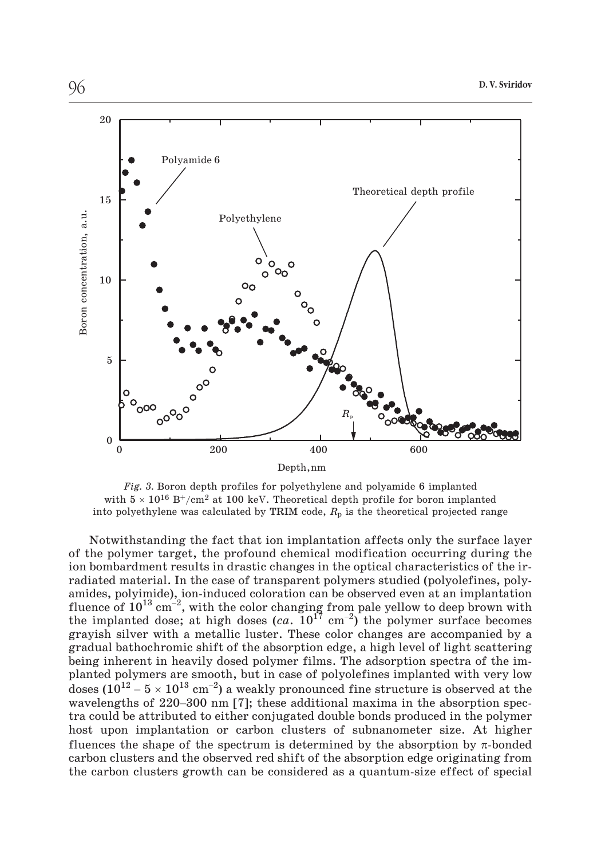

*Fig. 3.* Boron depth profiles for polyethylene and polyamide 6 implanted with  $5\times 10^{16}$  B<sup>+</sup>/cm<sup>2</sup> at 100 keV. Theoretical depth profile for boron implanted into polyethylene was calculated by TRIM code,  $R_p$  is the theoretical projected range

Notwithstanding the fact that ion implantation affects only the surface layer of the polymer target, the profound chemical modification occurring during the ion bombardment results in drastic changes in the optical characteristics of the irradiated material. In the case of transparent polymers studied (polyolefines, polyamides, polyimide), ion-induced coloration can be observed even at an implantation of the polymer target, the profound chemical modification occurring during the<br>ion bombardment results in drastic changes in the optical characteristics of the ir-<br>radiated material. In the case of transparent polymers st ion bombardment results in drastic changes in the radiated material. In the case of transparent polyn amides, polyimide), ion-induced coloration can be of fluence of  $10^{13}$  cm<sup>-2</sup>, with the color changing from the impla the implanted dose; at high doses  $(ca, 10^{17} \text{ cm}^{-2})$  the polymer surface becomes grayish silver with a metallic luster. These color changes are accompanied by a gradual bathochromic shift of the absorption edge, a high level of light scattering being inherent in heavily dosed polymer films. The adsorption spectra of the implanted polymers are smooth, but in case of polyolefines implanted with very low the implanted dose; at high doses  $(ca. 10^{17}$  cm<sup>-2</sup>) the polymer surface becomes grayish silver with a metallic luster. These color changes are accompanied by a gradual bathochromic shift of the absorption edge, a high l grayish silver with a metallic luster. These color changes are accompanied by a gradual bathochromic shift of the absorption edge, a high level of light scattering being inherent in heavily dosed polymer films. The adsorp tra could be attributed to either conjugated double bonds produced in the polymer host upon implantation or carbon clusters of subnanometer size. At higher fluences the shape of the spectrum is determined by the absorption by  $\pi$ -bonded carbon clusters and the observed red shift of the absorption edge originating from the carbon clusters growth can be considered as a quantum-size effect of special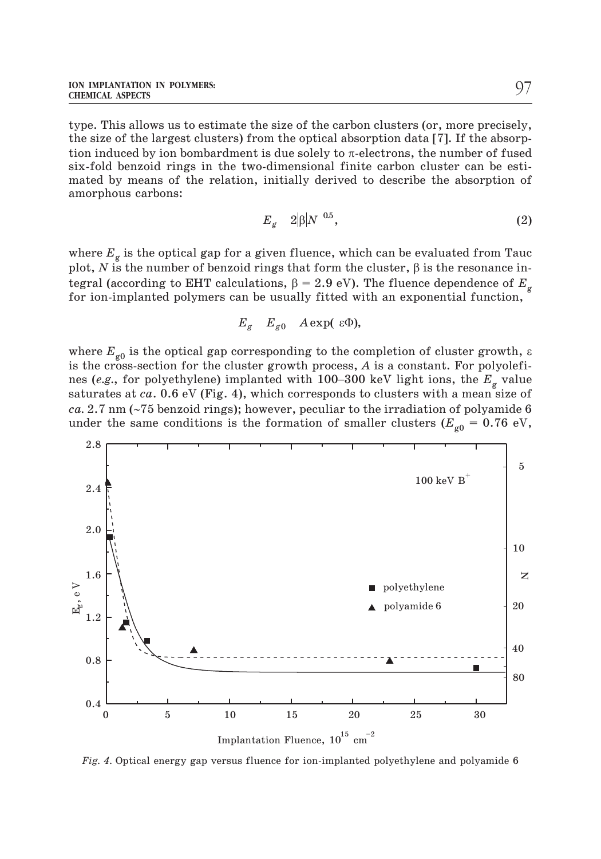type. This allows us to estimate the size of the carbon clusters (or, more precisely, the size of the largest clusters) from the optical absorption data [7]. If the absorption induced by ion bombardment is due solely to  $\pi$ -electrons, the number of fused six-fold benzoid rings in the two-dimensional finite carbon cluster can be estimated by means of the relation, initially derived to describe the absorption of amorphous carbons:

$$
E_g \quad 2|\beta| N^{-0.5}, \tag{2}
$$

where  $E_g$  is the optical gap for a given fluence, which can be evaluated from Tauc plot,  $N$  is the number of benzoid rings that form the cluster,  $\beta$  is the resonance integral (according to EHT calculations,  $\beta = 2.9$  eV). The fluence dependence of  $E_{\rm g}$ for ion-implanted polymers can be usually fitted with an exponential function,

$$
E_g \t E_{g0} \t A \exp(\varepsilon \Phi),
$$

where  $E_{\text{g0}}$  is the optical gap corresponding to the completion of cluster growth,  $\varepsilon$ is the cross-section for the cluster growth process, *A* is a constant. For polyolefi- $E_g$   $E_{g0}$   $A \exp(\varepsilon \Phi)$ ,<br>where  $E_{g0}$  is the optical gap corresponding to the completion of cluster growth,  $\varepsilon$  is the cross-section for the cluster growth process, A is a constant. For polyolefines (*e.g.*, for poly saturates at *ca*. 0.6 eV (Fig. 4), which corresponds to clusters with a mean size of  $ca. 2.7 \text{ nm}$  ( $\sim$ 75 benzoid rings); however, peculiar to the irradiation of polyamide 6 under the same conditions is the formation of smaller clusters ( $E_{g0} = 0.76$  eV,



*Fig. 4.* Optical energy gap versus fluence for ion-implanted polyethylene and polyamide 6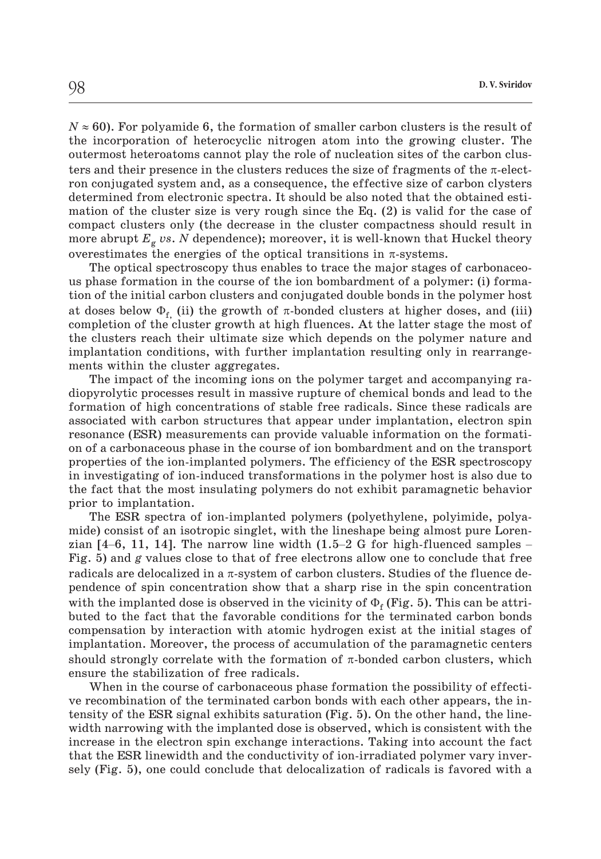$N \approx 60$ ). For polyamide 6, the formation of smaller carbon clusters is the result of the incorporation of heterocyclic nitrogen atom into the growing cluster. The outermost heteroatoms cannot play the role of nucleation sites of the carbon clusters and their presence in the clusters reduces the size of fragments of the  $\pi$ -electron conjugated system and, as a consequence, the effective size of carbon clysters determined from electronic spectra. It should be also noted that the obtained estimation of the cluster size is very rough since the Eq. (2) is valid for the case of compact clusters only (the decrease in the cluster compactness should result in more abrupt  $E_g$  *vs. N* dependence); moreover, it is well-known that Huckel theory overestimates the energies of the optical transitions in  $\pi$ -systems.

The optical spectroscopy thus enables to trace the major stages of carbonaceous phase formation in the course of the ion bombardment of a polymer: (i) formation of the initial carbon clusters and conjugated double bonds in the polymer host at doses below  $\Phi_{f_i}$  (ii) the growth of  $\pi$ -bonded clusters at higher doses, and (iii) completion of the cluster growth at high fluences. At the latter stage the most of the clusters reach their ultimate size which depends on the polymer nature and implantation conditions, with further implantation resulting only in rearrangements within the cluster aggregates.

The impact of the incoming ions on the polymer target and accompanying radiopyrolytic processes result in massive rupture of chemical bonds and lead to the formation of high concentrations of stable free radicals. Since these radicals are associated with carbon structures that appear under implantation, electron spin resonance (ESR) measurements can provide valuable information on the formation of a carbonaceous phase in the course of ion bombardment and on the transport properties of the ion-implanted polymers. The efficiency of the ESR spectroscopy in investigating of ion-induced transformations in the polymer host is also due to the fact that the most insulating polymers do not exhibit paramagnetic behavior prior to implantation.

The ESR spectra of ion-implanted polymers (polyethylene, polyimide, polyamide) consist of an isotropic singlet, with the lineshape being almost pure Lorenzian  $[4-6, 11, 14]$ . The narrow line width  $(1.5-2 \text{ G}$  for high-fluenced samples – Fig. 5) and *g* values close to that of free electrons allow one to conclude that free radicals are delocalized in a  $\pi$ -system of carbon clusters. Studies of the fluence dependence of spin concentration show that a sharp rise in the spin concentration with the implanted dose is observed in the vicinity of  $\Phi_f$  (Fig. 5). This can be attributed to the fact that the favorable conditions for the terminated carbon bonds compensation by interaction with atomic hydrogen exist at the initial stages of implantation. Moreover, the process of accumulation of the paramagnetic centers should strongly correlate with the formation of  $\pi$ -bonded carbon clusters, which ensure the stabilization of free radicals.

When in the course of carbonaceous phase formation the possibility of effective recombination of the terminated carbon bonds with each other appears, the intensity of the ESR signal exhibits saturation (Fig. 5). On the other hand, the linewidth narrowing with the implanted dose is observed, which is consistent with the increase in the electron spin exchange interactions. Taking into account the fact that the ESR linewidth and the conductivity of ion-irradiated polymer vary inversely (Fig. 5), one could conclude that delocalization of radicals is favored with a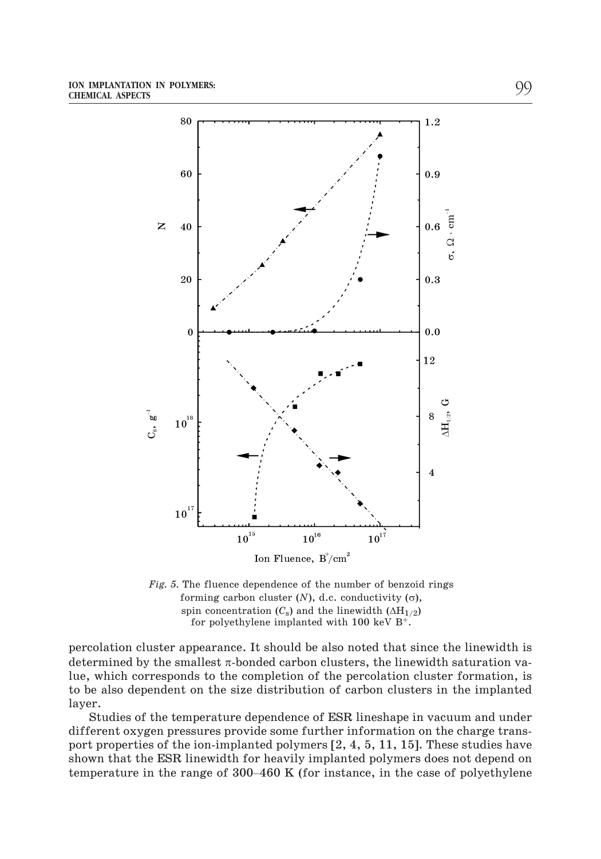

*Fig. 5.* The fluence dependence of the number of benzoid rings forming carbon cluster  $(N)$ , d.c. conductivity  $(\sigma)$ , spin concentration  $(C_s)$  and the linewidth  $(\Delta H_{1/2})$ for polyethylene implanted with 100 keV  $B^+$ .

percolation cluster appearance. It should be also noted that since the linewidth is determined by the smallest  $\pi$ -bonded carbon clusters, the linewidth saturation value, which corresponds to the completion of the percolation cluster formation, is to be also dependent on the size distribution of carbon clusters in the implanted layer.

Studies of the temperature dependence of ESR lineshape in vacuum and under different oxygen pressures provide some further information on the charge transport properties of the ion-implanted polymers [2, 4, 5, 11, 15]. These studies have shown that the ESR linewidth for heavily implanted polymers does not depend on the range of the temperature dependence of ESR lineshape in vacuum and under<br>different oxygen pressures provide some further information on the charge trans-<br>port properties of the ion-implanted polymers [2, 4, 5, 11, 15].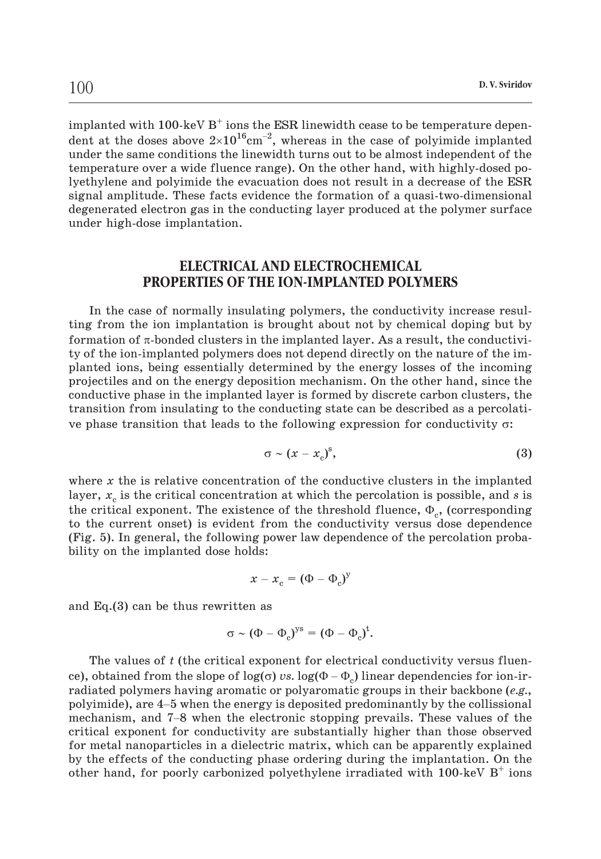implanted with 100-keV  $B^+$  ions the ESR linewidth cease to be temperature depen- $\begin{array}{c} \text{D. V. Sviridov} \[2mm] \text{implanted with 100-keV B}^+ \text{ ions the ESR linewidth cease to be temperature dependent at the doses above  $2\times10^{16}\text{cm}^{-2}$ , whereas in the case of polyimide implanted. \end{array}$ under the same conditions the linewidth turns out to be almost independent of the temperature over a wide fluence range). On the other hand, with highly-dosed polyethylene and polyimide the evacuation does not result in a decrease of the ESR signal amplitude. These facts evidence the formation of a quasi-two-dimensional degenerated electron gas in the conducting layer produced at the polymer surface under high-dose implantation.

## **ELECTRICAL AND ELECTROCHEMICAL PROPERTIES OF THE ION-IMPLANTED POLYMERS**

In the case of normally insulating polymers, the conductivity increase resulting from the ion implantation is brought about not by chemical doping but by formation of  $\pi$ -bonded clusters in the implanted layer. As a result, the conductivity of the ion-implanted polymers does not depend directly on the nature of the implanted ions, being essentially determined by the energy losses of the incoming projectiles and on the energy deposition mechanism. On the other hand, since the conductive phase in the implanted layer is formed by discrete carbon clusters, the transition from insulating to the conducting state can be conductive phase in the implanted layer is formed by discrete carbon clusters, the transition from insulating to the conducting state can be described as a percolative phase transition that leads to the following expression for conductivity  $\sigma$ :

$$
\sigma \sim (x - x_c)^s,\tag{3}
$$

where x the is relative concentration of the conductive clusters in the implanted layer,  $x_c$  is the critical concentration at which the percolation is possible, and  $s$  is the critical exponent. The existence of the threshold fluence,  $\Phi_c$ , (corresponding to the current onset) is evident from the conductivity versus dose dependence (Fig. 5). In general, the following power law dependence o to the current onset) is evident from the conductivity versus dose dependence (Fig. 5). In general, the following power law dependence of the percolation probability on the implanted dose holds:

$$
x - x_{\rm e} = (\Phi - \Phi_{\rm e})^{\rm y}
$$

and Eq.(3) can be thus rewritten as

$$
x - x_c = (\Phi - \Phi_c)^y
$$
  
ritten as  

$$
\sigma \sim (\Phi - \Phi_c)^{ys} = (\Phi - \Phi_c)^t.
$$

The values of *t* (the critical exponent for electrical conductivity versus fluenand Eq.(3) can be thus rewritten as<br>  $\sigma \sim (\Phi - \Phi_c)^{ys} = (\Phi - \Phi_c)^t$ .<br>
The values of t (the critical exponent for electrical conductivity versus fluen-<br>
ce), obtained from the slope of  $\log(\sigma)$  vs.  $\log(\Phi - \Phi_c)$  linear dependencie radiated polymers having aromatic or polyaromatic groups in their backbone (*e.g.*,  $\sigma \sim (\Phi - \Phi_c)^{vs} = (\Phi - \Phi_c)^t$ .<br>The values of t (the critical exponent for electrical conductivity versus fluen-<br>ce), obtained from the slope of log( $\sigma$ )  $vs. \log(\Phi - \Phi_c)$  linear dependencies for ion-ir-<br>radiated polymers having The values of t (the critical exponent for electrical conductivity versus fluence), obtained from the slope of  $log(\sigma)$  vs.  $log(\Phi - \Phi_o)$  linear dependencies for ion-ir-<br>radiated polymers having aromatic or polyaromatic groups critical exponent for conductivity are substantially higher than those observed for metal nanoparticles in a dielectric matrix, which can be apparently explained by the effects of the conducting phase ordering during the implantation. On the other hand, for poorly carbonized polyethylene irradiated with  $100$ -keV  $B^+$  ions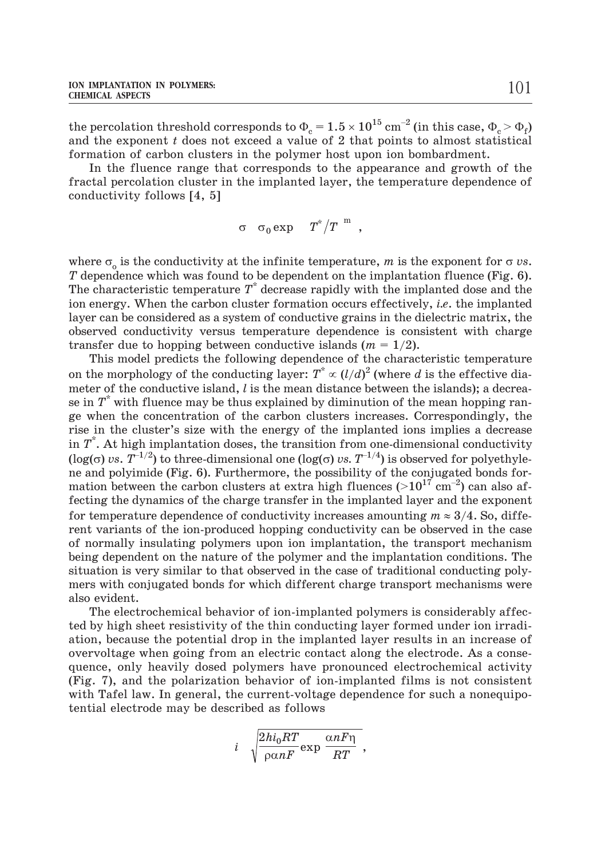ton implantation in polymers:<br>
CHEMICAL ASPECTS<br>
the percolation threshold corresponds to  $\Phi_c = 1.5 \times 10^{15}$  cm<sup>-2</sup> (in this case,  $\Phi_c > \Phi_t$ ) and the exponent *t* does not exceed a value of 2 that points to almost statistical formation of carbon clusters in the polymer host upon ion bombardment.

In the fluence range that corresponds to the appearance and growth of the fractal percolation cluster in the implanted layer, the temperature dependence of conductivity follows [4, 5]

$$
\sigma \hspace{.25cm} \sigma_0 \exp \hspace{.25cm} T^{\ast}/T^{\phantom{+}m} \hspace{.2cm} ,
$$

where  $\sigma_{\rm o}$  is the conductivity at the infinite temperature,  $m$  is the exponent for  $\sigma$   $vs.$ *T* dependence which was found to be dependent on the implantation fluence (Fig. 6). The characteristic temperature *T*\* decrease rapidly with the implanted dose and the ion energy. When the carbon cluster formation occurs effectively, *i.e*. the implanted layer can be considered as a system of conductive grains in the dielectric matrix, the observed conductivity versus temperature dependence is consistent with charge transfer due to hopping between conductive islands  $(m = 1/2)$ .

This model predicts the following dependence of the characteristic temperature on the morphology of the conducting layer:  $T^* \propto \left(l/d\right)^2$  (where  $d$  is the effective diameter of the conductive island, *l* is the mean distance between the islands); a decrease in *T*\* with fluence may be thus explained by diminution of the mean hopping range when the concentration of the carbon clusters increases. Correspondingly, the rise in the cluster's size with the energy of the implanted ions implies a decrease in *T*\* . At high implantation doses, the transition from one-dimensional conductivity  $(\log(\sigma) \text{ vs. } T^{-1/2})$  to three-dimensional one  $(\log(\sigma) \text{ vs. } T^{-1/4})$  is observed for polyethylene and polyimide (Fig. 6). Furthermore, the possibility of the conjugated bonds forrise in the cluster's size with the energy of the implanted ions implies<br>in  $T^*$ . At high implantation doses, the transition from one-dimensional<br>(log( $\sigma$ ) vs.  $T^{-1/2}$ ) to three-dimensional one (log( $\sigma$ ) vs.  $T^{-1/4}$ ) mation between the carbon clusters at extra high fluences  $(>10^{17} \text{ cm}^{-2})$  can also affecting the dynamics of the charge transfer in the implanted layer and the exponent for temperature dependence of conductivity increases amounting  $m \approx 3/4$ . So, different variants of the ion-produced hopping conductivity can be observed in the case of normally insulating polymers upon ion implantation, the transport mechanism being dependent on the nature of the polymer and the implantation conditions. The situation is very similar to that observed in the case of traditional conducting polymers with conjugated bonds for which different charge transport mechanisms were also evident.

The electrochemical behavior of ion-implanted polymers is considerably affected by high sheet resistivity of the thin conducting layer formed under ion irradiation, because the potential drop in the implanted layer results in an increase of overvoltage when going from an electric contact along the electrode. As a consequence, only heavily dosed polymers have pronounced electrochemical activity (Fig. 7), and the polarization behavior of ion-implanted films is not consistent with Tafel law. In general, the current-voltage dependence for such a nonequipotential electrode may be described as follows

$$
i \sqrt{\frac{2hi_0RT}{\rho\alpha nF}} \exp{\frac{\alpha nF\eta}{RT}},
$$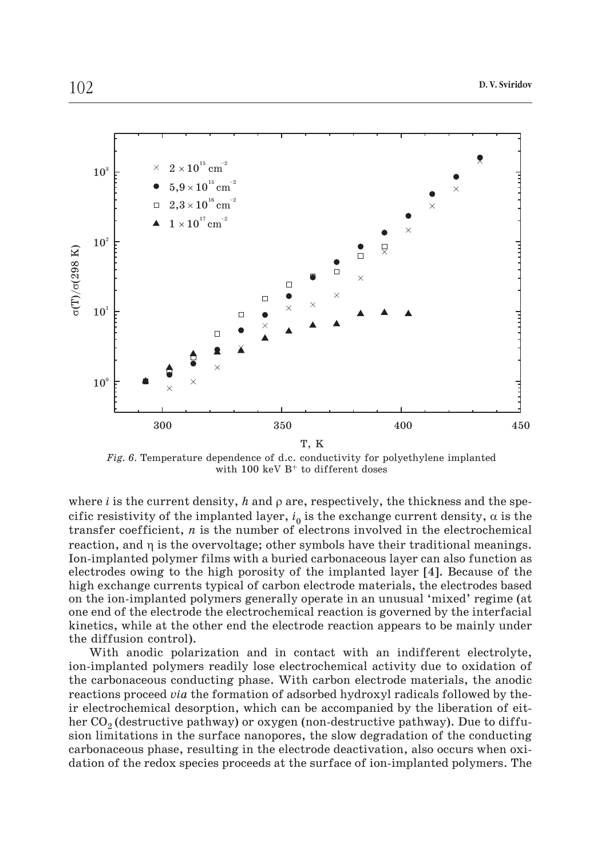

T, K

*Fig. 6.* Temperature dependence of d.c. conductivity for polyethylene implanted with  $100 \text{ keV B}^+$  to different doses

where  $i$  is the current density,  $h$  and  $\rho$  are, respectively, the thickness and the specific resistivity of the implanted layer,  $i_0$  is the exchange current density,  $\alpha$  is the transfer coefficient, *n* is the number of electrons involved in the electrochemical reaction, and  $\eta$  is the overvoltage; other symbols have their traditional meanings. Ion-implanted polymer films with a buried carbonaceous layer can also function as electrodes owing to the high porosity of the implanted layer [4]. Because of the high exchange currents typical of carbon electrode materials, the electrodes based on the ion-implanted polymers generally operate in an unusual 'mixed' regime (at one end of the electrode the electrochemical reaction is governed by the interfacial kinetics, while at the other end the electrode reaction appears to be mainly under the diffusion control).

With anodic polarization and in contact with an indifferent electrolyte, ion-implanted polymers readily lose electrochemical activity due to oxidation of the carbonaceous conducting phase. With carbon electrode materials, the anodic reactions proceed *via* the formation of adsorbed hydroxyl radicals followed by their electrochemical desorption, which can be accompanied by the liberation of either CO<sub>2</sub> (destructive pathway) or oxygen (non-destructive pathway). Due to diffusion limitations in the surface nanopores, the slow degradation of the conducting carbonaceous phase, resulting in the electrode deactivation, also occurs when oxidation of the redox species proceeds at the surface of ion-implanted polymers. The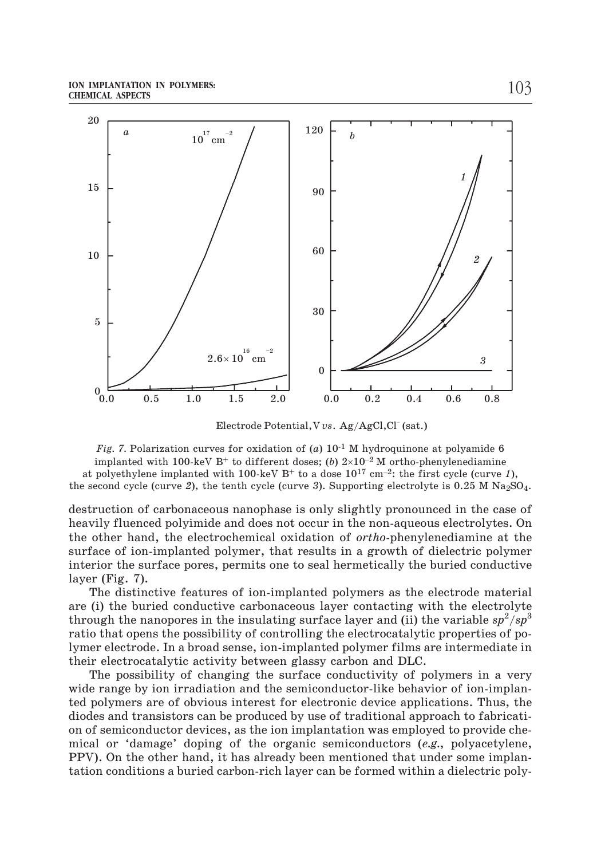

Electrode Potential,V *vs*. Ag/AgCl,Cl– (sat.)

*Fig.* 7. Polarization curves for oxidation of (*a*)  $10^{-1}$  M hydroquinone at polyamide 6 implanted with 100-keV B<sup>+</sup> to different doses; (*b*)  $2\times10^{-2}$  M ortho-phenylenediamine at polyethylene implanted with 100-keV B<sup>+</sup> to a dose  $10^{17}$  cm<sup>-2</sup>: the first cycle (curve 1), the second cycle (curve 2), the tenth cycle (curve 3). Supporting electrolyte is  $0.25$  M Na<sub>2</sub>SO<sub>4</sub>.

destruction of carbonaceous nanophase is only slightly pronounced in the case of heavily fluenced polyimide and does not occur in the non-aqueous electrolytes. On the other hand, the electrochemical oxidation of *ortho*-phenylenediamine at the surface of ion-implanted polymer, that results in a growth of dielectric polymer interior the surface pores, permits one to seal hermetically the buried conductive layer (Fig. 7).

The distinctive features of ion-implanted polymers as the electrode material are (i) the buried conductive carbonaceous layer contacting with the electrolyte through the nanopores in the insulating surface layer and (ii) the variable  $sp^2/sp^3$ ratio that opens the possibility of controlling the electrocatalytic properties of polymer electrode. In a broad sense, ion-implanted polymer films are intermediate in their electrocatalytic activity between glassy carbon and DLC.

The possibility of changing the surface conductivity of polymers in a very wide range by ion irradiation and the semiconductor-like behavior of ion-implanted polymers are of obvious interest for electronic device applications. Thus, the diodes and transistors can be produced by use of traditional approach to fabrication of semiconductor devices, as the ion implantation was employed to provide chemical or 'damage' doping of the organic semiconductors (*e.g.*, polyacetylene, PPV). On the other hand, it has already been mentioned that under some implantation conditions a buried carbon-rich layer can be formed within a dielectric poly-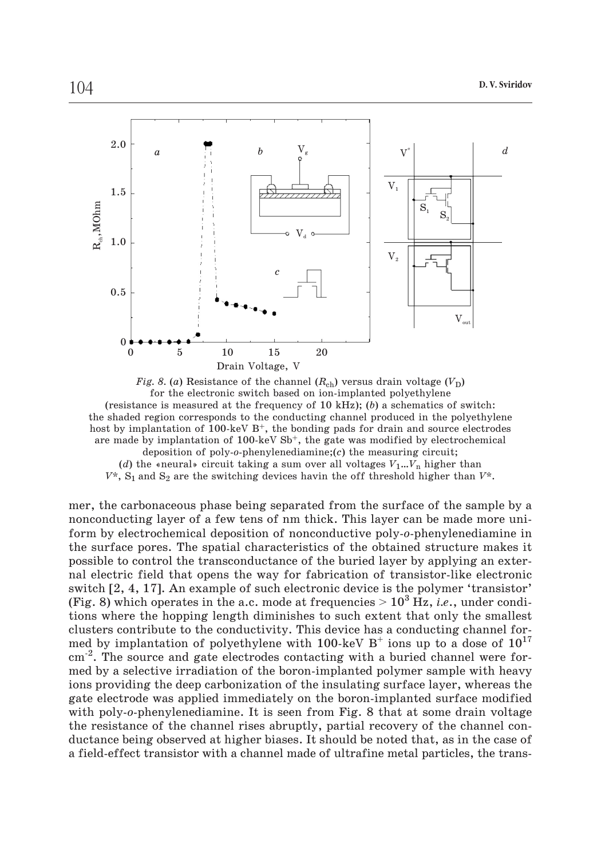

*Fig. 8.* (*a*) Resistance of the channel  $(R<sub>ch</sub>)$  versus drain voltage  $(V<sub>D</sub>)$ for the electronic switch based on ion-implanted polyethylene (resistance is measured at the frequency of 10 kHz); (*b*) a schematics of switch: the shaded region corresponds to the conducting channel produced in the polyethylene host by implantation of 100-keV  $B^+$ , the bonding pads for drain and source electrodes are made by implantation of  $100\text{-keV Sb}^+$ , the gate was modified by electrochemical deposition of poly-*o*-phenylenediamine;(*c*) the measuring circuit; (*d*) the «neural» circuit taking a sum over all voltages  $V_1...V_n$  higher than  $V^*$ , S<sub>1</sub> and S<sub>2</sub> are the switching devices havin the off threshold higher than  $V^*$ .

mer, the carbonaceous phase being separated from the surface of the sample by a nonconducting layer of a few tens of nm thick. This layer can be made more uniform by electrochemical deposition of nonconductive poly-*o*-phenylenediamine in the surface pores. The spatial characteristics of the obtained structure makes it possible to control the transconductance of the buried layer by applying an external electric field that opens the way for fabrication of transistor-like electronic switch [2, 4, 17]. An example of such electronic device is the polymer 'transistor' (Fig. 8) which operates in the a.c. mode at frequencies  $> 10^3$  Hz, *i.e.*, under conditions where the hopping length diminishes to such extent that only the smallest clusters contribute to the conductivity. This device has a conducting channel formed by implantation of polyethylene with 100-keV  $B^+$  ions up to a dose of  $10^{17}$ cm-2. The source and gate electrodes contacting with a buried channel were formed by a selective irradiation of the boron-implanted polymer sample with heavy ions providing the deep carbonization of the insulating surface layer, whereas the gate electrode was applied immediately on the boron-implanted surface modified with poly-*o*-phenylenediamine. It is seen from Fig. 8 that at some drain voltage the resistance of the channel rises abruptly, partial recovery of the channel conductance being observed at higher biases. It should be noted that, as in the case of a field-effect transistor with a channel made of ultrafine metal particles, the trans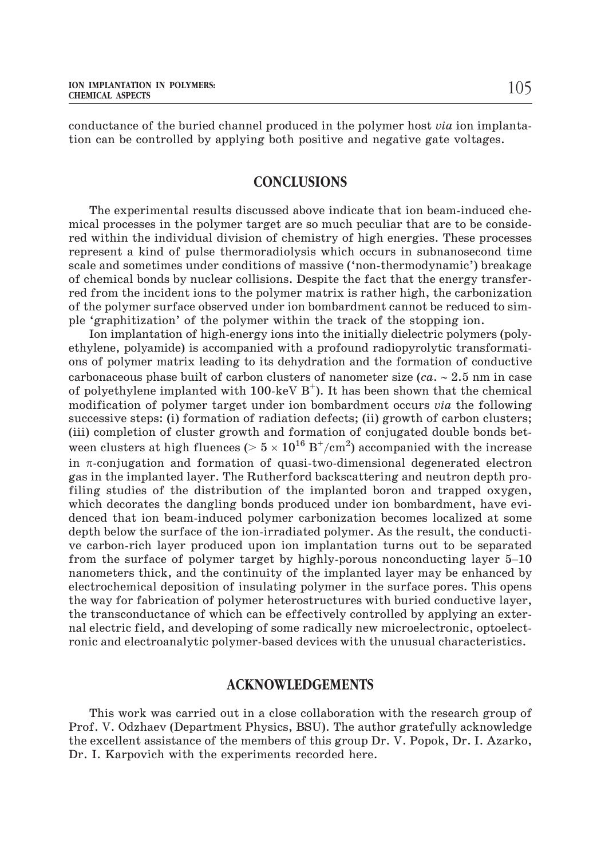conductance of the buried channel produced in the polymer host *via* ion implantation can be controlled by applying both positive and negative gate voltages.

### **CONCLUSIONS**

The experimental results discussed above indicate that ion beam-induced chemical processes in the polymer target are so much peculiar that are to be considered within the individual division of chemistry of high energies. These processes represent a kind of pulse thermoradiolysis which occurs in subnanosecond time scale and sometimes under conditions of massive ('non-thermodynamic') breakage of chemical bonds by nuclear collisions. Despite the fact that the energy transferred from the incident ions to the polymer matrix is rather high, the carbonization of the polymer surface observed under ion bombardment cannot be reduced to simple 'graphitization' of the polymer within the track of the stopping ion.

Ion implantation of high-energy ions into the initially dielectric polymers (polyethylene, polyamide) is accompanied with a profound radiopyrolytic transformations of polymer matrix leading to its dehydration and the formation of conductive carbonaceous phase built of carbon clusters of nanometer size  $(ca. \sim 2.5 \text{ nm}$  in case of polyethylene implanted with 100-keV  $B^+$ ). It has been shown that the chemical modification of polymer target under ion bombardment occurs *via* the following successive steps: (i) formation of radiation defects; (ii) growth of carbon clusters; (iii) completion of cluster growth and formation of conjugated double bonds between clusters at high fluences (>  $5\times10^{16}$  B $^+/{\rm cm}^2)$  accompanied with the increase in  $\pi$ -conjugation and formation of quasi-two-dimensional degenerated electron gas in the implanted layer. The Rutherford backscattering and neutron depth profiling studies of the distribution of the implanted boron and trapped oxygen, which decorates the dangling bonds produced under ion bombardment, have evidenced that ion beam-induced polymer carbonization becomes localized at some depth below the surface of the ion-irradiated polymer. As the result, the conductive carbon-rich layer produced upon ion implantation turns out to be separated filing studies of the distribution of the implanted boron and trapped oxygen, which decorates the dangling bonds produced under ion bombardment, have evidenced that ion beam-induced polymer carbonization becomes localized nanometers thick, and the continuity of the implanted layer may be enhanced by electrochemical deposition of insulating polymer in the surface pores. This opens the way for fabrication of polymer heterostructures with buried conductive layer, the transconductance of which can be effectively controlled by applying an external electric field, and developing of some radically new microelectronic, optoelectronic and electroanalytic polymer-based devices with the unusual characteristics.

## **ACKNOWLEDGEMENTS**

This work was carried out in a close collaboration with the research group of Prof. V. Odzhaev (Department Physics, BSU). The author gratefully acknowledge the excellent assistance of the members of this group Dr. V. Popok, Dr. I. Azarko, Dr. I. Karpovich with the experiments recorded here.